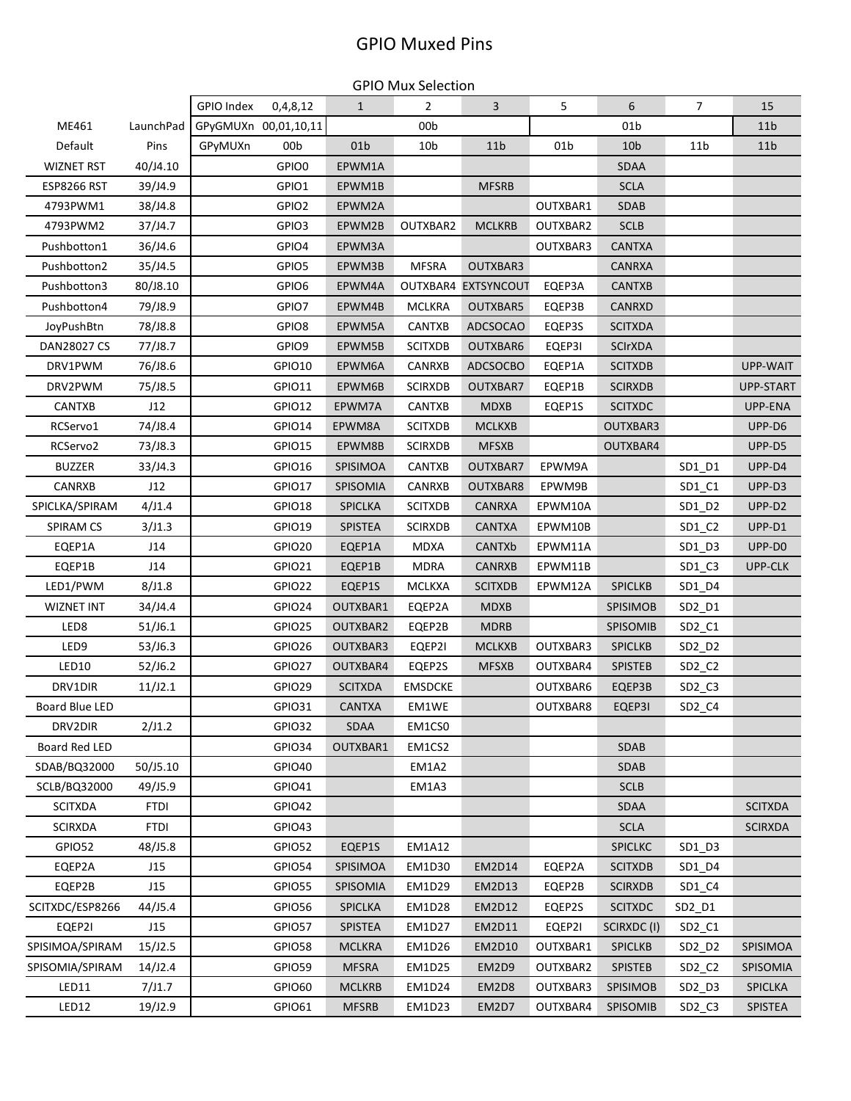## GPIO Muxed Pins

GPIO Mux Selection

|                    |             | GPIO Index | 0,4,8,12             | $\mathbf{1}$    | $\overline{2}$  | $\overline{3}$      | 5        | 6               | $\overline{7}$                 | 15              |
|--------------------|-------------|------------|----------------------|-----------------|-----------------|---------------------|----------|-----------------|--------------------------------|-----------------|
| ME461              | LaunchPad   |            | GPyGMUXn 00,01,10,11 |                 | 00 <sub>b</sub> |                     |          | 01 <sub>b</sub> |                                | 11 <sub>b</sub> |
| Default            | Pins        | GPyMUXn    | 00b                  | 01 <sub>b</sub> | 10 <sub>b</sub> | 11 <sub>b</sub>     | 01b      | 10 <sub>b</sub> | 11 <sub>b</sub>                | 11 <sub>b</sub> |
| <b>WIZNET RST</b>  | 40/J4.10    |            | GPIO0                | EPWM1A          |                 |                     |          | <b>SDAA</b>     |                                |                 |
| <b>ESP8266 RST</b> | 39/J4.9     |            | GPIO1                | EPWM1B          |                 | <b>MFSRB</b>        |          | <b>SCLA</b>     |                                |                 |
| 4793PWM1           | 38/J4.8     |            | GPIO2                | EPWM2A          |                 |                     | OUTXBAR1 | <b>SDAB</b>     |                                |                 |
| 4793PWM2           | 37/J4.7     |            | GPIO3                | EPWM2B          | OUTXBAR2        | <b>MCLKRB</b>       | OUTXBAR2 | <b>SCLB</b>     |                                |                 |
| Pushbotton1        | 36/J4.6     |            | GPIO4                | EPWM3A          |                 |                     | OUTXBAR3 | <b>CANTXA</b>   |                                |                 |
| Pushbotton2        | 35/J4.5     |            | GPIO5                | EPWM3B          | <b>MFSRA</b>    | OUTXBAR3            |          | <b>CANRXA</b>   |                                |                 |
| Pushbotton3        | 80/J8.10    |            | GPIO6                | EPWM4A          |                 | OUTXBAR4 EXTSYNCOUT | EQEP3A   | <b>CANTXB</b>   |                                |                 |
| Pushbotton4        | 79/J8.9     |            | GPIO7                | EPWM4B          | <b>MCLKRA</b>   | OUTXBAR5            | EQEP3B   | <b>CANRXD</b>   |                                |                 |
| JoyPushBtn         | 78/J8.8     |            | GPIO8                | EPWM5A          | CANTXB          | <b>ADCSOCAO</b>     | EQEP3S   | <b>SCITXDA</b>  |                                |                 |
| DAN28027 CS        | 77/J8.7     |            | GPIO9                | EPWM5B          | <b>SCITXDB</b>  | OUTXBAR6            | EQEP3I   | <b>SCIrXDA</b>  |                                |                 |
| DRV1PWM            | 76/J8.6     |            | GPIO10               | EPWM6A          | CANRXB          | <b>ADCSOCBO</b>     | EQEP1A   | <b>SCITXDB</b>  |                                | UPP-WAIT        |
| DRV2PWM            | 75/J8.5     |            | GPIO11               | EPWM6B          | <b>SCIRXDB</b>  | OUTXBAR7            | EQEP1B   | <b>SCIRXDB</b>  |                                | UPP-START       |
| <b>CANTXB</b>      | J12         |            | GPIO12               | EPWM7A          | CANTXB          | <b>MDXB</b>         | EQEP1S   | <b>SCITXDC</b>  |                                | UPP-ENA         |
| RCServo1           | 74/J8.4     |            | GPIO14               | EPWM8A          | <b>SCITXDB</b>  | <b>MCLKXB</b>       |          | OUTXBAR3        |                                | UPP-D6          |
| RCServo2           | 73/J8.3     |            | GPIO15               | EPWM8B          | <b>SCIRXDB</b>  | <b>MFSXB</b>        |          | OUTXBAR4        |                                | UPP-D5          |
| <b>BUZZER</b>      | 33/J4.3     |            | GPIO16               | SPISIMOA        | CANTXB          | OUTXBAR7            | EPWM9A   |                 | SD1_D1                         | UPP-D4          |
| CANRXB             | J12         |            | GPIO17               | SPISOMIA        | CANRXB          | OUTXBAR8            | EPWM9B   |                 | $SD1_C1$                       | UPP-D3          |
| SPICLKA/SPIRAM     | 4/J1.4      |            | GPIO18               | SPICLKA         | <b>SCITXDB</b>  | <b>CANRXA</b>       | EPWM10A  |                 | SD1_D2                         | UPP-D2          |
| <b>SPIRAM CS</b>   | 3/J1.3      |            | GPIO19               | <b>SPISTEA</b>  | <b>SCIRXDB</b>  | CANTXA              | EPWM10B  |                 | $SD1_C2$                       | UPP-D1          |
| EQEP1A             | J14         |            | GPIO20               | EQEP1A          | <b>MDXA</b>     | CANTXb              | EPWM11A  |                 | SD1_D3                         | UPP-DO          |
| EQEP1B             | J14         |            | GPIO21               | EQEP1B          | <b>MDRA</b>     | <b>CANRXB</b>       | EPWM11B  |                 | $SD1_C3$                       | UPP-CLK         |
| LED1/PWM           | 8/J1.8      |            | GPIO22               | EQEP1S          | <b>MCLKXA</b>   | <b>SCITXDB</b>      | EPWM12A  | <b>SPICLKB</b>  | SD1_D4                         |                 |
| <b>WIZNET INT</b>  | 34/J4.4     |            | GPIO24               | OUTXBAR1        | EQEP2A          | <b>MDXB</b>         |          | SPISIMOB        | SD2_D1                         |                 |
| LED8               | 51/J6.1     |            | GPIO25               | OUTXBAR2        | EQEP2B          | <b>MDRB</b>         |          | SPISOMIB        | SD2_C1                         |                 |
| LED9               | 53/J6.3     |            | GPIO26               | OUTXBAR3        | EQEP2I          | <b>MCLKXB</b>       | OUTXBAR3 | <b>SPICLKB</b>  | SD2_D2                         |                 |
| LED10              | 52/J6.2     |            | GPIO27               | OUTXBAR4        | EQEP2S          | <b>MFSXB</b>        | OUTXBAR4 | <b>SPISTEB</b>  | $SD2_C2$                       |                 |
| DRV1DIR            | 11/J2.1     |            | GPIO29               | <b>SCITXDA</b>  | <b>EMSDCKE</b>  |                     | OUTXBAR6 | EQEP3B          | $SD2_C3$                       |                 |
| Board Blue LED     |             |            | GPIO31               | <b>CANTXA</b>   | EM1WE           |                     | OUTXBAR8 | EQEP3I          | SD <sub>2_C4</sub>             |                 |
| DRV2DIR            | 2/J1.2      |            | GPIO32               | <b>SDAA</b>     | EM1CS0          |                     |          |                 |                                |                 |
| Board Red LED      |             |            | GPIO34               | OUTXBAR1        | EM1CS2          |                     |          | <b>SDAB</b>     |                                |                 |
| SDAB/BQ32000       | 50/J5.10    |            | GPIO40               |                 | <b>EM1A2</b>    |                     |          | <b>SDAB</b>     |                                |                 |
| SCLB/BQ32000       | 49/J5.9     |            | GPIO41               |                 | EM1A3           |                     |          | <b>SCLB</b>     |                                |                 |
| <b>SCITXDA</b>     | <b>FTDI</b> |            | GPIO42               |                 |                 |                     |          | SDAA            |                                | <b>SCITXDA</b>  |
| <b>SCIRXDA</b>     | <b>FTDI</b> |            | GPIO43               |                 |                 |                     |          | <b>SCLA</b>     |                                | <b>SCIRXDA</b>  |
| GPIO52             | 48/J5.8     |            | GPIO52               | EQEP1S          | <b>EM1A12</b>   |                     |          | <b>SPICLKC</b>  | SD1_D3                         |                 |
| EQEP2A             | J15         |            | GPIO54               | SPISIMOA        | EM1D30          | <b>EM2D14</b>       | EQEP2A   | <b>SCITXDB</b>  | SD1_D4                         |                 |
| EQEP2B             | J15         |            | GPIO55               | SPISOMIA        | EM1D29          | <b>EM2D13</b>       | EQEP2B   | <b>SCIRXDB</b>  | SD1 C4                         |                 |
| SCITXDC/ESP8266    | 44/J5.4     |            | GPIO56               | SPICLKA         | <b>EM1D28</b>   | <b>EM2D12</b>       | EQEP2S   | <b>SCITXDC</b>  | SD2_D1                         |                 |
| EQEP2I             | J15         |            | GPIO57               | <b>SPISTEA</b>  | <b>EM1D27</b>   | EM2D11              | EQEP2I   | SCIRXDC(I)      | $SD2_C1$                       |                 |
| SPISIMOA/SPIRAM    | 15/J2.5     |            | GPIO58               | <b>MCLKRA</b>   | EM1D26          | <b>EM2D10</b>       | OUTXBAR1 | <b>SPICLKB</b>  | SD <sub>2</sub> D <sub>2</sub> | SPISIMOA        |
| SPISOMIA/SPIRAM    | 14/J2.4     |            | GPIO59               | <b>MFSRA</b>    | <b>EM1D25</b>   | EM2D9               | OUTXBAR2 | <b>SPISTEB</b>  | $SD2_C2$                       | SPISOMIA        |
| LED11              | 7/J1.7      |            | GPIO60               | <b>MCLKRB</b>   | EM1D24          | EM2D8               | OUTXBAR3 | SPISIMOB        | SD <sub>2</sub> D <sub>3</sub> | <b>SPICLKA</b>  |
| LED12              | 19/J2.9     |            | GPIO61               | <b>MFSRB</b>    | <b>EM1D23</b>   | EM2D7               | OUTXBAR4 | SPISOMIB        | $SD2_C3$                       | SPISTEA         |